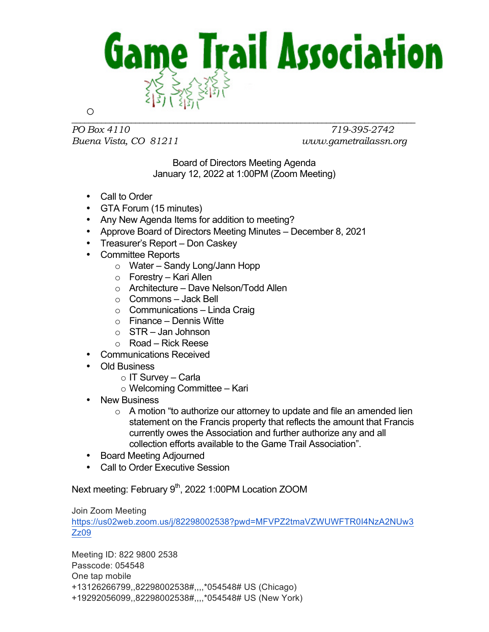

*PO Box 4110 719-395-2742 Buena Vista, CO 81211 www.gametrailassn.org*

Board of Directors Meeting Agenda January 12, 2022 at 1:00PM (Zoom Meeting)

- Call to Order
- GTA Forum (15 minutes)
- Any New Agenda Items for addition to meeting?
- Approve Board of Directors Meeting Minutes December 8, 2021
- Treasurer's Report Don Caskey
- Committee Reports
	- o Water Sandy Long/Jann Hopp
	- o Forestry Kari Allen
	- o Architecture Dave Nelson/Todd Allen
	- o Commons Jack Bell
	- $\circ$  Communications Linda Craig
	- $\circ$  Finance Dennis Witte
	- $\circ$  STR Jan Johnson
	- o Road Rick Reese
- Communications Received
- Old Business
	- o IT Survey Carla
	- o Welcoming Committee Kari
- New Business
	- $\circ$  A motion "to authorize our attorney to update and file an amended lien statement on the Francis property that reflects the amount that Francis currently owes the Association and further authorize any and all collection efforts available to the Game Trail Association".
- Board Meeting Adjourned
- Call to Order Executive Session

Next meeting: February 9<sup>th</sup>, 2022 1:00PM Location ZOOM

## Join Zoom Meeting

https://us02web.zoom.us/j/82298002538?pwd=MFVPZ2tmaVZWUWFTR0I4NzA2NUw3 Zz09

Meeting ID: 822 9800 2538 Passcode: 054548 One tap mobile +13126266799,,82298002538#,,,,\*054548# US (Chicago) +19292056099,,82298002538#,,,,\*054548# US (New York)